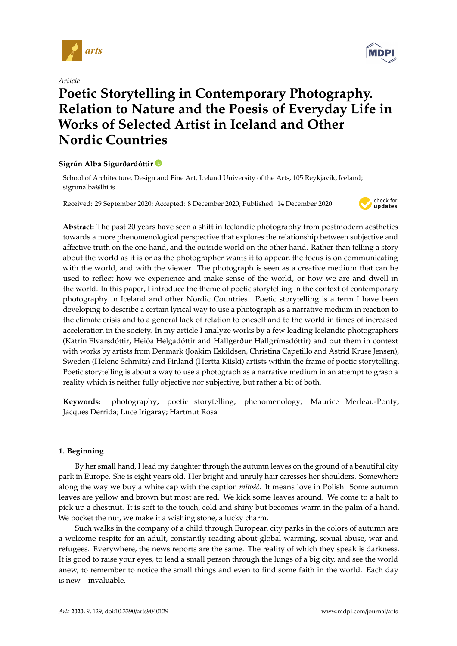

*Article*

# **Poetic Storytelling in Contemporary Photography. Relation to Nature and the Poesis of Everyday Life in Works of Selected Artist in Iceland and Other Nordic Countries**

# **Sigrún Alba Sigurðardóttir**

School of Architecture, Design and Fine Art, Iceland University of the Arts, 105 Reykjavik, Iceland; sigrunalba@lhi.is

Received: 29 September 2020; Accepted: 8 December 2020; Published: 14 December 2020



**Abstract:** The past 20 years have seen a shift in Icelandic photography from postmodern aesthetics towards a more phenomenological perspective that explores the relationship between subjective and affective truth on the one hand, and the outside world on the other hand. Rather than telling a story about the world as it is or as the photographer wants it to appear, the focus is on communicating with the world, and with the viewer. The photograph is seen as a creative medium that can be used to reflect how we experience and make sense of the world, or how we are and dwell in the world. In this paper, I introduce the theme of poetic storytelling in the context of contemporary photography in Iceland and other Nordic Countries. Poetic storytelling is a term I have been developing to describe a certain lyrical way to use a photograph as a narrative medium in reaction to the climate crisis and to a general lack of relation to oneself and to the world in times of increased acceleration in the society. In my article I analyze works by a few leading Icelandic photographers (Katrín Elvarsdóttir, Heiða Helgadóttir and Hallgerður Hallgrímsdóttir) and put them in context with works by artists from Denmark (Joakim Eskildsen, Christina Capetillo and Astrid Kruse Jensen), Sweden (Helene Schmitz) and Finland (Hertta Kiiski) artists within the frame of poetic storytelling. Poetic storytelling is about a way to use a photograph as a narrative medium in an attempt to grasp a reality which is neither fully objective nor subjective, but rather a bit of both.

**Keywords:** photography; poetic storytelling; phenomenology; Maurice Merleau-Ponty; Jacques Derrida; Luce Irigaray; Hartmut Rosa

# **1. Beginning**

By her small hand, I lead my daughter through the autumn leaves on the ground of a beautiful city park in Europe. She is eight years old. Her bright and unruly hair caresses her shoulders. Somewhere along the way we buy a white cap with the caption *miło´s´c*. It means love in Polish. Some autumn leaves are yellow and brown but most are red. We kick some leaves around. We come to a halt to pick up a chestnut. It is soft to the touch, cold and shiny but becomes warm in the palm of a hand. We pocket the nut, we make it a wishing stone, a lucky charm.

Such walks in the company of a child through European city parks in the colors of autumn are a welcome respite for an adult, constantly reading about global warming, sexual abuse, war and refugees. Everywhere, the news reports are the same. The reality of which they speak is darkness. It is good to raise your eyes, to lead a small person through the lungs of a big city, and see the world anew, to remember to notice the small things and even to find some faith in the world. Each day is new—invaluable.

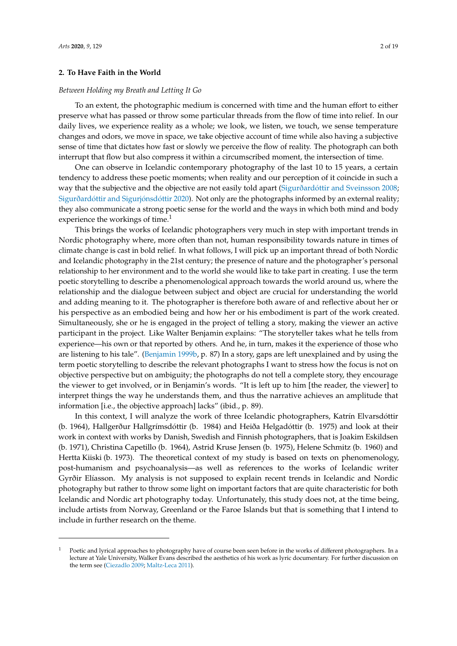## **2. To Have Faith in the World**

#### *Between Holding my Breath and Letting It Go*

To an extent, the photographic medium is concerned with time and the human effort to either preserve what has passed or throw some particular threads from the flow of time into relief. In our daily lives, we experience reality as a whole; we look, we listen, we touch, we sense temperature changes and odors, we move in space, we take objective account of time while also having a subjective sense of time that dictates how fast or slowly we perceive the flow of reality. The photograph can both interrupt that flow but also compress it within a circumscribed moment, the intersection of time.

One can observe in Icelandic contemporary photography of the last 10 to 15 years, a certain tendency to address these poetic moments; when reality and our perception of it coincide in such a way that the subjective and the objective are not easily told apart (Sigurðardó[ttir and Sveinsson](#page-18-0) [2008;](#page-18-0) Sigurðardó[ttir and Sigurj](#page-18-1)ónsdóttir [2020\)](#page-18-1). Not only are the photographs informed by an external reality; they also communicate a strong poetic sense for the world and the ways in which both mind and body experience the workings of time.<sup>1</sup>

This brings the works of Icelandic photographers very much in step with important trends in Nordic photography where, more often than not, human responsibility towards nature in times of climate change is cast in bold relief. In what follows, I will pick up an important thread of both Nordic and Icelandic photography in the 21st century; the presence of nature and the photographer's personal relationship to her environment and to the world she would like to take part in creating. I use the term poetic storytelling to describe a phenomenological approach towards the world around us, where the relationship and the dialogue between subject and object are crucial for understanding the world and adding meaning to it. The photographer is therefore both aware of and reflective about her or his perspective as an embodied being and how her or his embodiment is part of the work created. Simultaneously, she or he is engaged in the project of telling a story, making the viewer an active participant in the project. Like Walter Benjamin explains: "The storyteller takes what he tells from experience—his own or that reported by others. And he, in turn, makes it the experience of those who are listening to his tale". [\(Benjamin](#page-16-0) [1999b,](#page-16-0) p. 87) In a story, gaps are left unexplained and by using the term poetic storytelling to describe the relevant photographs I want to stress how the focus is not on objective perspective but on ambiguity; the photographs do not tell a complete story, they encourage the viewer to get involved, or in Benjamin's words. "It is left up to him [the reader, the viewer] to interpret things the way he understands them, and thus the narrative achieves an amplitude that information [i.e., the objective approach] lacks" (ibid., p. 89).

In this context, I will analyze the work of three Icelandic photographers, Katrín Elvarsdóttir (b. 1964), Hallgerður Hallgrímsdóttir (b. 1984) and Heiða Helgadóttir (b. 1975) and look at their work in context with works by Danish, Swedish and Finnish photographers, that is Joakim Eskildsen (b. 1971), Christina Capetillo (b. 1964), Astrid Kruse Jensen (b. 1975), Helene Schmitz (b. 1960) and Hertta Kiiski (b. 1973). The theoretical context of my study is based on texts on phenomenology, post-humanism and psychoanalysis—as well as references to the works of Icelandic writer Gyrðir Elíasson. My analysis is not supposed to explain recent trends in Icelandic and Nordic photography but rather to throw some light on important factors that are quite characteristic for both Icelandic and Nordic art photography today. Unfortunately, this study does not, at the time being, include artists from Norway, Greenland or the Faroe Islands but that is something that I intend to include in further research on the theme.

Poetic and lyrical approaches to photography have of course been seen before in the works of different photographers. In a lecture at Yale University, Walker Evans described the aesthetics of his work as lyric documentary. For further discussion on the term see [\(Ciezadlo](#page-16-1) [2009;](#page-16-1) [Maltz-Leca](#page-18-2) [2011\)](#page-18-2).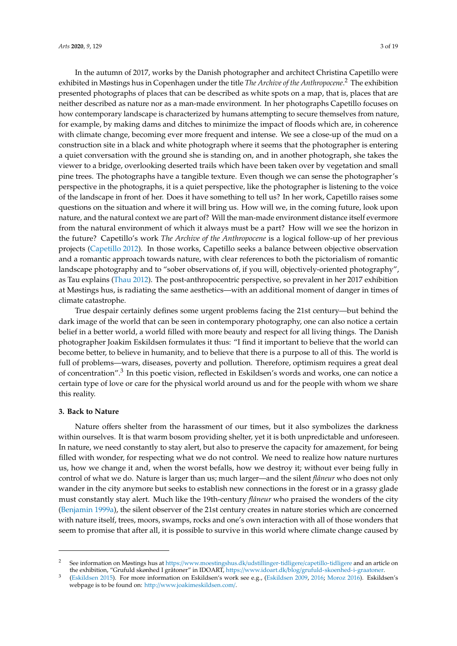In the autumn of 2017, works by the Danish photographer and architect Christina Capetillo were exhibited in Møstings hus in Copenhagen under the title *The Archive of the Anthropocene*. <sup>2</sup> The exhibition presented photographs of places that can be described as white spots on a map, that is, places that are neither described as nature nor as a man-made environment. In her photographs Capetillo focuses on how contemporary landscape is characterized by humans attempting to secure themselves from nature, for example, by making dams and ditches to minimize the impact of floods which are, in coherence with climate change, becoming ever more frequent and intense. We see a close-up of the mud on a construction site in a black and white photograph where it seems that the photographer is entering a quiet conversation with the ground she is standing on, and in another photograph, she takes the viewer to a bridge, overlooking deserted trails which have been taken over by vegetation and small pine trees. The photographs have a tangible texture. Even though we can sense the photographer's perspective in the photographs, it is a quiet perspective, like the photographer is listening to the voice of the landscape in front of her. Does it have something to tell us? In her work, Capetillo raises some questions on the situation and where it will bring us. How will we, in the coming future, look upon nature, and the natural context we are part of? Will the man-made environment distance itself evermore from the natural environment of which it always must be a part? How will we see the horizon in the future? Capetillo's work *The Archive of the Anthropocene* is a logical follow-up of her previous projects [\(Capetillo](#page-16-2) [2012\)](#page-16-2). In those works, Capetillo seeks a balance between objective observation and a romantic approach towards nature, with clear references to both the pictorialism of romantic landscape photography and to "sober observations of, if you will, objectively-oriented photography", as Tau explains [\(Thau](#page-18-3) [2012\)](#page-18-3). The post-anthropocentric perspective, so prevalent in her 2017 exhibition at Møstings hus, is radiating the same aesthetics—with an additional moment of danger in times of climate catastrophe.

True despair certainly defines some urgent problems facing the 21st century—but behind the dark image of the world that can be seen in contemporary photography, one can also notice a certain belief in a better world, a world filled with more beauty and respect for all living things. The Danish photographer Joakim Eskildsen formulates it thus: "I find it important to believe that the world can become better, to believe in humanity, and to believe that there is a purpose to all of this. The world is full of problems—wars, diseases, poverty and pollution. Therefore, optimism requires a great deal of concentration".<sup>3</sup> In this poetic vision, reflected in Eskildsen's words and works, one can notice a certain type of love or care for the physical world around us and for the people with whom we share this reality.

#### **3. Back to Nature**

Nature offers shelter from the harassment of our times, but it also symbolizes the darkness within ourselves. It is that warm bosom providing shelter, yet it is both unpredictable and unforeseen. In nature, we need constantly to stay alert, but also to preserve the capacity for amazement, for being filled with wonder, for respecting what we do not control. We need to realize how nature nurtures us, how we change it and, when the worst befalls, how we destroy it; without ever being fully in control of what we do. Nature is larger than us; much larger—and the silent *flâneur* who does not only wander in the city anymore but seeks to establish new connections in the forest or in a grassy glade must constantly stay alert. Much like the 19th-century *flâneur* who praised the wonders of the city [\(Benjamin](#page-16-3) [1999a\)](#page-16-3), the silent observer of the 21st century creates in nature stories which are concerned with nature itself, trees, moors, swamps, rocks and one's own interaction with all of those wonders that seem to promise that after all, it is possible to survive in this world where climate change caused by

<sup>&</sup>lt;sup>2</sup> See information on Møstings hus at https://[www.moestingshus.dk](https://www.moestingshus.dk/udstillinger-tidligere/capetillo-tidligere)/udstillinger-tidligere/capetillo-tidligere and an article on the exhibition, "Grufuld skønhed I gråtoner" in IDOART, https://www.idoart.dk/blog/[grufuld-skoenhed-i-graatoner.](https://www.idoart.dk/blog/grufuld-skoenhed-i-graatoner)

<sup>3</sup> [\(Eskildsen](#page-17-0) [2015\)](#page-17-0). For more information on Eskildsen's work see e.g., [\(Eskildsen](#page-17-1) [2009,](#page-17-1) [2016;](#page-17-2) [Moroz](#page-18-4) [2016\)](#page-18-4). Eskildsen's webpage is to be found on: http://[www.joakimeskildsen.com](http://www.joakimeskildsen.com/)/.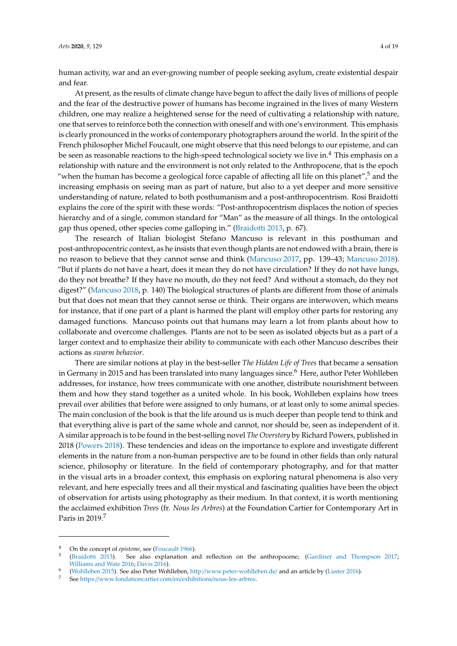human activity, war and an ever-growing number of people seeking asylum, create existential despair and fear.

At present, as the results of climate change have begun to affect the daily lives of millions of people and the fear of the destructive power of humans has become ingrained in the lives of many Western children, one may realize a heightened sense for the need of cultivating a relationship with nature, one that serves to reinforce both the connection with oneself and with one's environment. This emphasis is clearly pronounced in the works of contemporary photographers around the world. In the spirit of the French philosopher Michel Foucault, one might observe that this need belongs to our episteme, and can be seen as reasonable reactions to the high-speed technological society we live in.<sup>4</sup> This emphasis on a relationship with nature and the environment is not only related to the Anthropocene, that is the epoch "when the human has become a geological force capable of affecting all life on this planet",<sup>5</sup> and the increasing emphasis on seeing man as part of nature, but also to a yet deeper and more sensitive understanding of nature, related to both posthumanism and a post-anthropocentrism. Rosi Braidotti explains the core of the spirit with these words: "Post-anthropocentrism displaces the notion of species hierarchy and of a single, common standard for "Man" as the measure of all things. In the ontological gap thus opened, other species come galloping in." [\(Braidotti](#page-16-4) [2013,](#page-16-4) p. 67).

The research of Italian biologist Stefano Mancuso is relevant in this posthuman and post-anthropocentric context, as he insists that even though plants are not endowed with a brain, there is no reason to believe that they cannot sense and think [\(Mancuso](#page-18-5) [2017,](#page-18-5) pp. 139–43; [Mancuso](#page-18-6) [2018\)](#page-18-6). "But if plants do not have a heart, does it mean they do not have circulation? If they do not have lungs, do they not breathe? If they have no mouth, do they not feed? And without a stomach, do they not digest?" [\(Mancuso](#page-18-6) [2018,](#page-18-6) p. 140) The biological structures of plants are different from those of animals but that does not mean that they cannot sense or think. Their organs are interwoven, which means for instance, that if one part of a plant is harmed the plant will employ other parts for restoring any damaged functions. Mancuso points out that humans may learn a lot from plants about how to collaborate and overcome challenges. Plants are not to be seen as isolated objects but as a part of a larger context and to emphasize their ability to communicate with each other Mancuso describes their actions as *swarm behavior*.

There are similar notions at play in the best-seller *The Hidden Life of Trees* that became a sensation in Germany in 2015 and has been translated into many languages since.<sup>6</sup> Here, author Peter Wohlleben addresses, for instance, how trees communicate with one another, distribute nourishment between them and how they stand together as a united whole. In his book, Wohlleben explains how trees prevail over abilities that before were assigned to only humans, or at least only to some animal species. The main conclusion of the book is that the life around us is much deeper than people tend to think and that everything alive is part of the same whole and cannot, nor should be, seen as independent of it. A similar approach is to be found in the best-selling novel *The Overstory* by Richard Powers, published in 2018 [\(Powers](#page-18-7) [2018\)](#page-18-7). These tendencies and ideas on the importance to explore and investigate different elements in the nature from a non-human perspective are to be found in other fields than only natural science, philosophy or literature. In the field of contemporary photography, and for that matter in the visual arts in a broader context, this emphasis on exploring natural phenomena is also very relevant, and here especially trees and all their mystical and fascinating qualities have been the object of observation for artists using photography as their medium. In that context, it is worth mentioning the acclaimed exhibition *Trees* (fr. *Nous les Arbres*) at the Foundation Cartier for Contemporary Art in Paris in 2019.<sup>7</sup>

<sup>4</sup> On the concept of *episteme*, see [\(Foucault](#page-17-3) [1966\)](#page-17-3).

<sup>5</sup> [\(Braidotti](#page-16-4) [2013\)](#page-16-4). See also explanation and reflection on the anthropocene; [\(Gardiner and Thompson](#page-17-4) [2017;](#page-17-4) [Williams and Wate](#page-18-8) [2016;](#page-18-8) [Davis](#page-16-5) [2016\)](#page-16-5).

<sup>6</sup> [\(Wohlleben](#page-18-9) [2015\)](#page-18-9). See also Peter Wohlleben, http://[www.peter-wohlleben.de](http://www.peter-wohlleben.de/)/ and an article by [\(Luster](#page-17-5) [2016\)](#page-17-5).

<sup>7</sup> See https://[www.fondationcartier.com](https://www.fondationcartier.com/en/exhibitions/nous-les-arbres)/en/exhibitions/nous-les-arbres.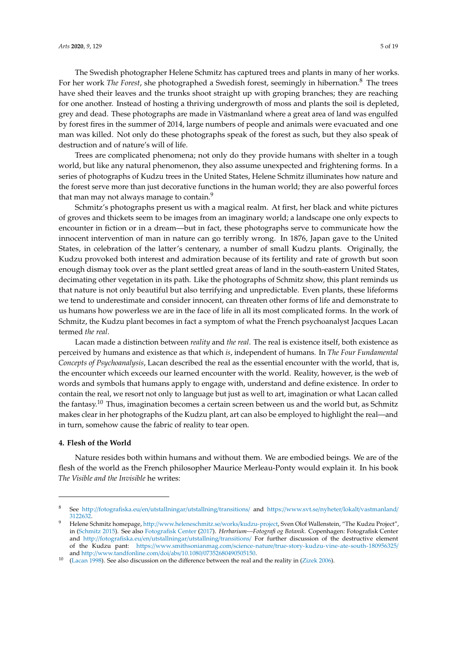The Swedish photographer Helene Schmitz has captured trees and plants in many of her works. For her work *The Forest*, she photographed a Swedish forest, seemingly in hibernation.<sup>8</sup> The trees have shed their leaves and the trunks shoot straight up with groping branches; they are reaching for one another. Instead of hosting a thriving undergrowth of moss and plants the soil is depleted, grey and dead. These photographs are made in Västmanland where a great area of land was engulfed by forest fires in the summer of 2014, large numbers of people and animals were evacuated and one man was killed. Not only do these photographs speak of the forest as such, but they also speak of destruction and of nature's will of life.

Trees are complicated phenomena; not only do they provide humans with shelter in a tough world, but like any natural phenomenon, they also assume unexpected and frightening forms. In a series of photographs of Kudzu trees in the United States, Helene Schmitz illuminates how nature and the forest serve more than just decorative functions in the human world; they are also powerful forces that man may not always manage to contain.<sup>9</sup>

Schmitz's photographs present us with a magical realm. At first, her black and white pictures of groves and thickets seem to be images from an imaginary world; a landscape one only expects to encounter in fiction or in a dream—but in fact, these photographs serve to communicate how the innocent intervention of man in nature can go terribly wrong. In 1876, Japan gave to the United States, in celebration of the latter's centenary, a number of small Kudzu plants. Originally, the Kudzu provoked both interest and admiration because of its fertility and rate of growth but soon enough dismay took over as the plant settled great areas of land in the south-eastern United States, decimating other vegetation in its path. Like the photographs of Schmitz show, this plant reminds us that nature is not only beautiful but also terrifying and unpredictable. Even plants, these lifeforms we tend to underestimate and consider innocent, can threaten other forms of life and demonstrate to us humans how powerless we are in the face of life in all its most complicated forms. In the work of Schmitz, the Kudzu plant becomes in fact a symptom of what the French psychoanalyst Jacques Lacan termed *the real*.

Lacan made a distinction between *reality* and *the real*. The real is existence itself, both existence as perceived by humans and existence as that which *is*, independent of humans. In *The Four Fundamental Concepts of Psychoanalysis*, Lacan described the real as the essential encounter with the world, that is, the encounter which exceeds our learned encounter with the world. Reality, however, is the web of words and symbols that humans apply to engage with, understand and define existence. In order to contain the real, we resort not only to language but just as well to art, imagination or what Lacan called the fantasy.<sup>10</sup> Thus, imagination becomes a certain screen between us and the world but, as Schmitz makes clear in her photographs of the Kudzu plant, art can also be employed to highlight the real—and in turn, somehow cause the fabric of reality to tear open.

## **4. Flesh of the World**

Nature resides both within humans and without them. We are embodied beings. We are of the flesh of the world as the French philosopher Maurice Merleau-Ponty would explain it. In his book *The Visible and the Invisible* he writes:

See http://[fotografiska.eu](http://fotografiska.eu/en/utstallningar/utstallning/transitions/)/en/utstallningar/utstallning/transitions/ and https://www.svt.se/nyheter/lokalt/[vastmanland](https://www.svt.se/nyheter/lokalt/vastmanland/3122632)/ [3122632.](https://www.svt.se/nyheter/lokalt/vastmanland/3122632)

<sup>9</sup> Helene Schmitz homepage, http://[www.heleneschmitz.se](http://www.heleneschmitz.se/works/kudzu-project)/works/kudzu-project, Sven Olof Wallenstein, "The Kudzu Project", in [\(Schmitz](#page-18-10) [2015\)](#page-18-10). See also [Fotografisk Center](#page-17-6) [\(2017\)](#page-17-6). *Herbarium—Fotografi og Botanik*. Copenhagen: Fotografisk Center and http://[fotografiska.eu](http://fotografiska.eu/en/utstallningar/utstallning/transitions/)/en/utstallningar/utstallning/transitions/ For further discussion of the destructive element of the Kudzu pant: https://www.smithsonianmag.com/science-nature/[true-story-kudzu-vine-ate-south-180956325](https://www.smithsonianmag.com/science-nature/true-story-kudzu-vine-ate-south-180956325/)/ and http://[www.tandfonline.com](http://www.tandfonline.com/doi/abs/10.1080/07352680490505150)/doi/abs/10.1080/07352680490505150.

 $10$  [\(Lacan](#page-17-7) [1998\)](#page-17-7). See also discussion on the difference between the real and the reality in [\(Zizek](#page-18-11) [2006\)](#page-18-11).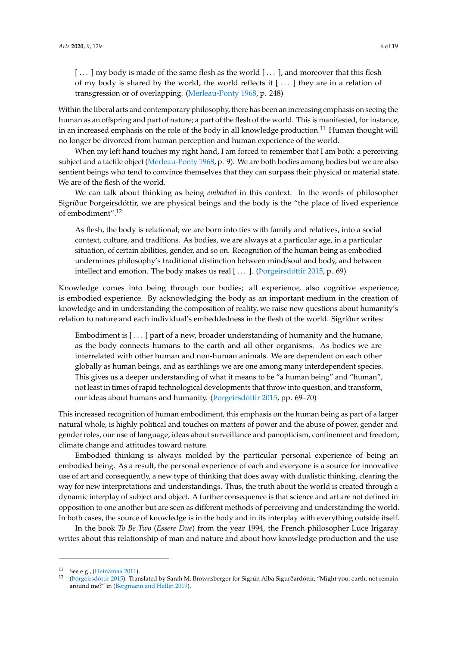Within the liberal arts and contemporary philosophy, there has been an increasing emphasis on seeing the human as an offspring and part of nature; a part of the flesh of the world. This is manifested, for instance, in an increased emphasis on the role of the body in all knowledge production.<sup>11</sup> Human thought will no longer be divorced from human perception and human experience of the world.

When my left hand touches my right hand, I am forced to remember that I am both: a perceiving subject and a tactile object [\(Merleau-Ponty](#page-18-12) [1968,](#page-18-12) p. 9). We are both bodies among bodies but we are also sentient beings who tend to convince themselves that they can surpass their physical or material state. We are of the flesh of the world.

We can talk about thinking as being *embodied* in this context. In the words of philosopher Sigríður Þorgeirsdóttir, we are physical beings and the body is the "the place of lived experience of embodiment".<sup>12</sup>

As flesh, the body is relational; we are born into ties with family and relatives, into a social context, culture, and traditions. As bodies, we are always at a particular age, in a particular situation, of certain abilities, gender, and so on. Recognition of the human being as embodied undermines philosophy's traditional distinction between mind/soul and body, and between intellect and emotion. The body makes us real [...]. (Porgeirsdóttir [2015,](#page-18-13) p. 69)

Knowledge comes into being through our bodies; all experience, also cognitive experience, is embodied experience. By acknowledging the body as an important medium in the creation of knowledge and in understanding the composition of reality, we raise new questions about humanity's relation to nature and each individual's embeddedness in the flesh of the world. Sigríður writes:

Embodiment is [ . . . ] part of a new, broader understanding of humanity and the humane, as the body connects humans to the earth and all other organisms. As bodies we are interrelated with other human and non-human animals. We are dependent on each other globally as human beings, and as earthlings we are one among many interdependent species. This gives us a deeper understanding of what it means to be "a human being" and "human", not least in times of rapid technological developments that throw into question, and transform, our ideas about humans and humanity. [\(Þorgeirsd](#page-18-13)óttir [2015,](#page-18-13) pp. 69–70)

This increased recognition of human embodiment, this emphasis on the human being as part of a larger natural whole, is highly political and touches on matters of power and the abuse of power, gender and gender roles, our use of language, ideas about surveillance and panopticism, confinement and freedom, climate change and attitudes toward nature.

Embodied thinking is always molded by the particular personal experience of being an embodied being. As a result, the personal experience of each and everyone is a source for innovative use of art and consequently, a new type of thinking that does away with dualistic thinking, clearing the way for new interpretations and understandings. Thus, the truth about the world is created through a dynamic interplay of subject and object. A further consequence is that science and art are not defined in opposition to one another but are seen as different methods of perceiving and understanding the world. In both cases, the source of knowledge is in the body and in its interplay with everything outside itself.

In the book *To Be Two* (*Essere Due*) from the year 1994, the French philosopher Luce Irigaray writes about this relationship of man and nature and about how knowledge production and the use

<sup>11</sup> See e.g., [\(Heinämaa](#page-17-8) [2011\)](#page-17-8).

<sup>12</sup> [\(Þorgeirsd](#page-18-13)óttir [2015\)](#page-18-13). Translated by Sarah M. Brownsberger for Sigrún Alba Sigurðardóttir, "Might you, earth, not remain around me?" in [\(Bergmann and Hallin](#page-16-6) [2019\)](#page-16-6).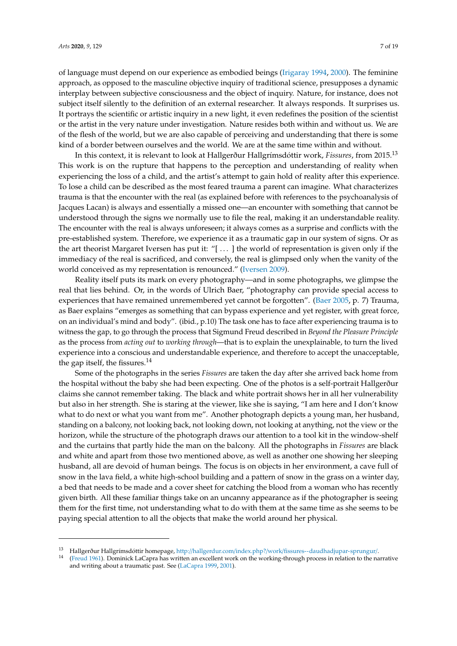of language must depend on our experience as embodied beings [\(Irigaray](#page-17-9) [1994,](#page-17-9) [2000\)](#page-17-10). The feminine approach, as opposed to the masculine objective inquiry of traditional science, presupposes a dynamic interplay between subjective consciousness and the object of inquiry. Nature, for instance, does not subject itself silently to the definition of an external researcher. It always responds. It surprises us. It portrays the scientific or artistic inquiry in a new light, it even redefines the position of the scientist or the artist in the very nature under investigation. Nature resides both within and without us. We are of the flesh of the world, but we are also capable of perceiving and understanding that there is some kind of a border between ourselves and the world. We are at the same time within and without.

In this context, it is relevant to look at Hallgerður Hallgrímsdóttir work, *Fissures*, from 2015.<sup>13</sup> This work is on the rupture that happens to the perception and understanding of reality when experiencing the loss of a child, and the artist's attempt to gain hold of reality after this experience. To lose a child can be described as the most feared trauma a parent can imagine. What characterizes trauma is that the encounter with the real (as explained before with references to the psychoanalysis of Jacques Lacan) is always and essentially a missed one—an encounter with something that cannot be understood through the signs we normally use to file the real, making it an understandable reality. The encounter with the real is always unforeseen; it always comes as a surprise and conflicts with the pre-established system. Therefore, we experience it as a traumatic gap in our system of signs. Or as the art theorist Margaret Iversen has put it: "[ . . . ] the world of representation is given only if the immediacy of the real is sacrificed, and conversely, the real is glimpsed only when the vanity of the world conceived as my representation is renounced." [\(Iversen](#page-17-11) [2009\)](#page-17-11).

Reality itself puts its mark on every photography—and in some photographs, we glimpse the real that lies behind. Or, in the words of Ulrich Baer, "photography can provide special access to experiences that have remained unremembered yet cannot be forgotten". [\(Baer](#page-16-7) [2005,](#page-16-7) p. 7) Trauma, as Baer explains "emerges as something that can bypass experience and yet register, with great force, on an individual's mind and body". (ibid., p.10) The task one has to face after experiencing trauma is to witness the gap, to go through the process that Sigmund Freud described in *Beyond the Pleasure Principle* as the process from *acting out* to *working through*—that is to explain the unexplainable, to turn the lived experience into a conscious and understandable experience, and therefore to accept the unacceptable, the gap itself, the fissures. $^{14}$ 

Some of the photographs in the series *Fissures* are taken the day after she arrived back home from the hospital without the baby she had been expecting. One of the photos is a self-portrait Hallgerður claims she cannot remember taking. The black and white portrait shows her in all her vulnerability but also in her strength. She is staring at the viewer, like she is saying, "I am here and I don't know what to do next or what you want from me". Another photograph depicts a young man, her husband, standing on a balcony, not looking back, not looking down, not looking at anything, not the view or the horizon, while the structure of the photograph draws our attention to a tool kit in the window-shelf and the curtains that partly hide the man on the balcony. All the photographs in *Fissures* are black and white and apart from those two mentioned above, as well as another one showing her sleeping husband, all are devoid of human beings. The focus is on objects in her environment, a cave full of snow in the lava field, a white high-school building and a pattern of snow in the grass on a winter day, a bed that needs to be made and a cover sheet for catching the blood from a woman who has recently given birth. All these familiar things take on an uncanny appearance as if the photographer is seeing them for the first time, not understanding what to do with them at the same time as she seems to be paying special attention to all the objects that make the world around her physical.

<sup>13</sup> Hallgerður Hallgrímsdóttir homepage, http://hallgerdur.com/index.php?/work/[fissures--daudhadjupar-sprungur](http://hallgerdur.com/index.php?/work/fissures--daudhadjupar-sprungur/)/.

<sup>14</sup> [\(Freud](#page-17-12) [1961\)](#page-17-12). Dominick LaCapra has written an excellent work on the working-through process in relation to the narrative and writing about a traumatic past. See [\(LaCapra](#page-17-13) [1999,](#page-17-13) [2001\)](#page-17-14).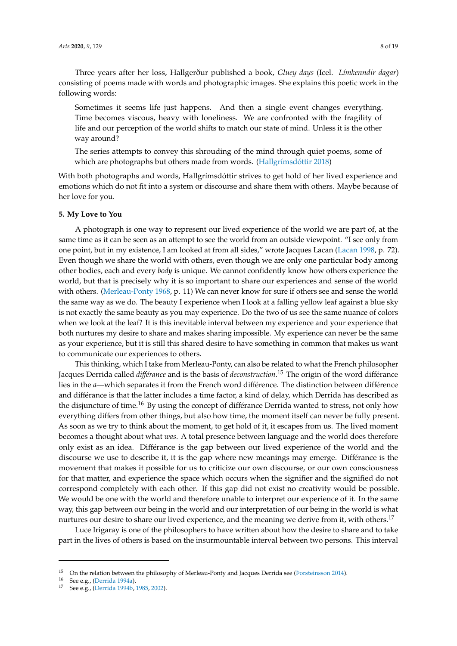Three years after her loss, Hallgerður published a book, *Gluey days* (Icel. *Límkenndir dagar*) consisting of poems made with words and photographic images. She explains this poetic work in the following words:

Sometimes it seems life just happens. And then a single event changes everything. Time becomes viscous, heavy with loneliness. We are confronted with the fragility of life and our perception of the world shifts to match our state of mind. Unless it is the other way around?

The series attempts to convey this shrouding of the mind through quiet poems, some of which are photographs but others made from words. [\(Hallgr](#page-17-15)ímsdóttir [2018\)](#page-17-15)

With both photographs and words, Hallgrímsdóttir strives to get hold of her lived experience and emotions which do not fit into a system or discourse and share them with others. Maybe because of her love for you.

# **5. My Love to You**

A photograph is one way to represent our lived experience of the world we are part of, at the same time as it can be seen as an attempt to see the world from an outside viewpoint. "I see only from one point, but in my existence, I am looked at from all sides," wrote Jacques Lacan [\(Lacan](#page-17-7) [1998,](#page-17-7) p. 72). Even though we share the world with others, even though we are only one particular body among other bodies, each and every *body* is unique. We cannot confidently know how others experience the world, but that is precisely why it is so important to share our experiences and sense of the world with others. [\(Merleau-Ponty](#page-18-12) [1968,](#page-18-12) p. 11) We can never know for sure if others see and sense the world the same way as we do. The beauty I experience when I look at a falling yellow leaf against a blue sky is not exactly the same beauty as you may experience. Do the two of us see the same nuance of colors when we look at the leaf? It is this inevitable interval between my experience and your experience that both nurtures my desire to share and makes sharing impossible. My experience can never be the same as your experience, but it is still this shared desire to have something in common that makes us want to communicate our experiences to others.

This thinking, which I take from Merleau-Ponty, can also be related to what the French philosopher Jacques Derrida called *di*ff*érance* and is the basis of *deconstruction*. <sup>15</sup> The origin of the word différance lies in the *a*—which separates it from the French word différence. The distinction between différence and différance is that the latter includes a time factor, a kind of delay, which Derrida has described as the disjuncture of time.<sup>16</sup> By using the concept of différance Derrida wanted to stress, not only how everything differs from other things, but also how time, the moment itself can never be fully present. As soon as we try to think about the moment, to get hold of it, it escapes from us. The lived moment becomes a thought about what *was*. A total presence between language and the world does therefore only exist as an idea. Différance is the gap between our lived experience of the world and the discourse we use to describe it, it is the gap where new meanings may emerge. Différance is the movement that makes it possible for us to criticize our own discourse, or our own consciousness for that matter, and experience the space which occurs when the signifier and the signified do not correspond completely with each other. If this gap did not exist no creativity would be possible. We would be one with the world and therefore unable to interpret our experience of it. In the same way, this gap between our being in the world and our interpretation of our being in the world is what nurtures our desire to share our lived experience, and the meaning we derive from it, with others.<sup>17</sup>

Luce Irigaray is one of the philosophers to have written about how the desire to share and to take part in the lives of others is based on the insurmountable interval between two persons. This interval

<sup>&</sup>lt;sup>15</sup> On the relation between the philosophy of Merleau-Ponty and Jacques Derrida see (*Þorsteinsson 2014*).

<sup>16</sup> See e.g., [\(Derrida](#page-17-16) [1994a\)](#page-17-16).

<sup>17</sup> See e.g., [\(Derrida](#page-17-17) [1994b,](#page-17-17) [1985,](#page-17-18) [2002\)](#page-17-19).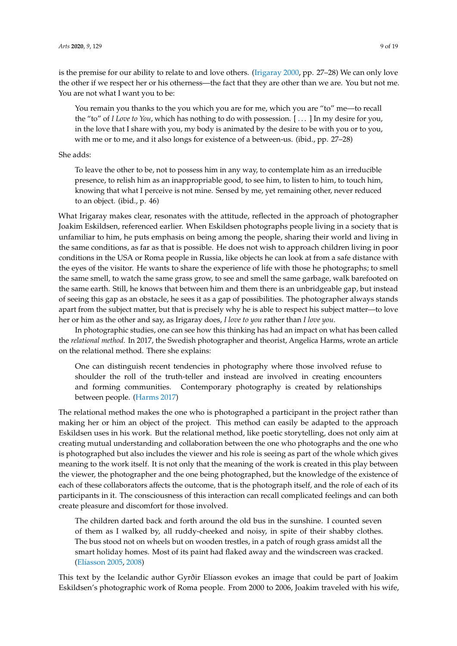is the premise for our ability to relate to and love others. [\(Irigaray](#page-17-10) [2000,](#page-17-10) pp. 27–28) We can only love the other if we respect her or his otherness—the fact that they are other than we are. You but not me. You are not what I want you to be:

You remain you thanks to the you which you are for me, which you are "to" me—to recall the "to" of *I Love to You*, which has nothing to do with possession. [ . . . ] In my desire for you, in the love that I share with you, my body is animated by the desire to be with you or to you, with me or to me, and it also longs for existence of a between-us. (ibid., pp. 27–28)

# She adds:

To leave the other to be, not to possess him in any way, to contemplate him as an irreducible presence, to relish him as an inappropriable good, to see him, to listen to him, to touch him, knowing that what I perceive is not mine. Sensed by me, yet remaining other, never reduced to an object. (ibid., p. 46)

What Irigaray makes clear, resonates with the attitude, reflected in the approach of photographer Joakim Eskildsen, referenced earlier. When Eskildsen photographs people living in a society that is unfamiliar to him, he puts emphasis on being among the people, sharing their world and living in the same conditions, as far as that is possible. He does not wish to approach children living in poor conditions in the USA or Roma people in Russia, like objects he can look at from a safe distance with the eyes of the visitor. He wants to share the experience of life with those he photographs; to smell the same smell, to watch the same grass grow, to see and smell the same garbage, walk barefooted on the same earth. Still, he knows that between him and them there is an unbridgeable gap, but instead of seeing this gap as an obstacle, he sees it as a gap of possibilities. The photographer always stands apart from the subject matter, but that is precisely why he is able to respect his subject matter—to love her or him as the other and say, as Irigaray does, *I love to you* rather than *I love you*.

In photographic studies, one can see how this thinking has had an impact on what has been called the *relational method*. In 2017, the Swedish photographer and theorist, Angelica Harms, wrote an article on the relational method. There she explains:

One can distinguish recent tendencies in photography where those involved refuse to shoulder the roll of the truth-teller and instead are involved in creating encounters and forming communities. Contemporary photography is created by relationships between people. [\(Harms](#page-17-20) [2017\)](#page-17-20)

The relational method makes the one who is photographed a participant in the project rather than making her or him an object of the project. This method can easily be adapted to the approach Eskildsen uses in his work. But the relational method, like poetic storytelling, does not only aim at creating mutual understanding and collaboration between the one who photographs and the one who is photographed but also includes the viewer and his role is seeing as part of the whole which gives meaning to the work itself. It is not only that the meaning of the work is created in this play between the viewer, the photographer and the one being photographed, but the knowledge of the existence of each of these collaborators affects the outcome, that is the photograph itself, and the role of each of its participants in it. The consciousness of this interaction can recall complicated feelings and can both create pleasure and discomfort for those involved.

The children darted back and forth around the old bus in the sunshine. I counted seven of them as I walked by, all ruddy-cheeked and noisy, in spite of their shabby clothes. The bus stood not on wheels but on wooden trestles, in a patch of rough grass amidst all the smart holiday homes. Most of its paint had flaked away and the windscreen was cracked. (Elí[asson](#page-17-21) [2005,](#page-17-21) [2008\)](#page-17-22)

This text by the Icelandic author Gyrðir Elíasson evokes an image that could be part of Joakim Eskildsen's photographic work of Roma people. From 2000 to 2006, Joakim traveled with his wife,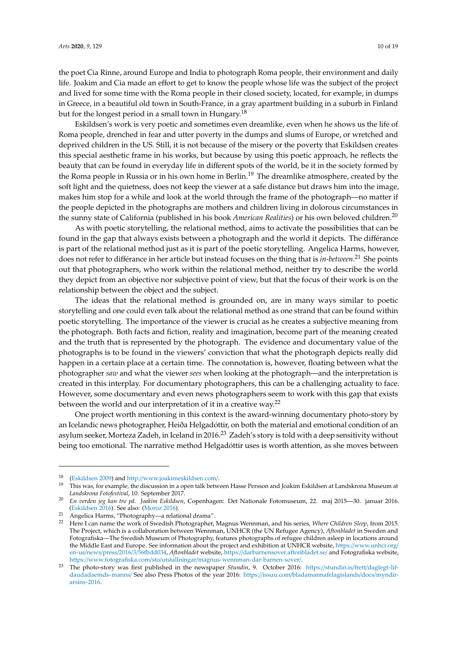the poet Cia Rinne, around Europe and India to photograph Roma people, their environment and daily life. Joakim and Cia made an effort to get to know the people whose life was the subject of the project and lived for some time with the Roma people in their closed society, located, for example, in dumps in Greece, in a beautiful old town in South-France, in a gray apartment building in a suburb in Finland but for the longest period in a small town in Hungary.<sup>18</sup>

Eskildsen's work is very poetic and sometimes even dreamlike, even when he shows us the life of Roma people, drenched in fear and utter poverty in the dumps and slums of Europe, or wretched and deprived children in the US. Still, it is not because of the misery or the poverty that Eskildsen creates this special aesthetic frame in his works, but because by using this poetic approach, he reflects the beauty that can be found in everyday life in different spots of the world, be it in the society formed by the Roma people in Russia or in his own home in Berlin.<sup>19</sup> The dreamlike atmosphere, created by the soft light and the quietness, does not keep the viewer at a safe distance but draws him into the image, makes him stop for a while and look at the world through the frame of the photograph—no matter if the people depicted in the photographs are mothers and children living in dolorous circumstances in the sunny state of California (published in his book *American Realities*) or his own beloved children.<sup>20</sup>

As with poetic storytelling, the relational method, aims to activate the possibilities that can be found in the gap that always exists between a photograph and the world it depicts. The différance is part of the relational method just as it is part of the poetic storytelling. Angelica Harms, however, does not refer to différance in her article but instead focuses on the thing that is *in-between*. <sup>21</sup> She points out that photographers, who work within the relational method, neither try to describe the world they depict from an objective nor subjective point of view, but that the focus of their work is on the relationship between the object and the subject.

The ideas that the relational method is grounded on, are in many ways similar to poetic storytelling and one could even talk about the relational method as one strand that can be found within poetic storytelling. The importance of the viewer is crucial as he creates a subjective meaning from the photograph. Both facts and fiction, reality and imagination, become part of the meaning created and the truth that is represented by the photograph. The evidence and documentary value of the photographs is to be found in the viewers' conviction that what the photograph depicts really did happen in a certain place at a certain time. The connotation is, however, floating between what the photographer *saw* and what the viewer *sees* when looking at the photograph—and the interpretation is created in this interplay. For documentary photographers, this can be a challenging actuality to face. However, some documentary and even news photographers seem to work with this gap that exists between the world and our interpretation of it in a creative way.<sup>22</sup>

One project worth mentioning in this context is the award-winning documentary photo-story by an Icelandic news photographer, Heiða Helgadóttir, on both the material and emotional condition of an asylum seeker, Morteza Zadeh, in Iceland in 2016.<sup>23</sup> Zadeh's story is told with a deep sensitivity without being too emotional. The narrative method Helgadóttir uses is worth attention, as she moves between

<sup>18</sup> [\(Eskildsen](#page-17-1) [2009\)](#page-17-1) and http://[www.joakimeskildsen.com](http://www.joakimeskildsen.com/)/.

<sup>19</sup> This was, for example, the discussion in a open talk between Hasse Persson and Joakim Eskildsen at Landskrona Museum at *Landskrona Fotofestival*, 10. September 2017.

<sup>20</sup> *En verden jeg kan tro på. Joakim Eskildsen*, Copenhagen: Det Nationale Fotomuseum, 22. maj 2015—30. januar 2016. [\(Eskildsen](#page-17-2) [2016\)](#page-17-2). See also: [\(Moroz](#page-18-4) [2016\)](#page-18-4).

<sup>21</sup> Angelica Harms, "Photography—a relational drama".

<sup>22</sup> Here I can name the work of Swedish Photographer, Magnus Wennman, and his series, *Where Children Sleep*, from 2015. The Project, which is a collaboration between Wennman, UNHCR (the UN Refugee Agency), *Aftonbladet* in Sweden and Fotografiska—The Swedish Museum of Photography, features photographs of refugee children asleep in locations around the Middle East and Europe. See information about the project and exhibition at UNHCR website, https://[www.unhcr.org](https://www.unhcr.org/en-us/news/press/2016/3/56fbdd034)/ en-us/news/press/2016/3/[56fbdd034,](https://www.unhcr.org/en-us/news/press/2016/3/56fbdd034) *Aftonbladet* website, https://[darbarnensover.aftonbladet.se](https://darbarnensover.aftonbladet.se/)/ and Fotografiska website, https://www.fotografiska.com/sto/utstallningar/[magnus-wennman-dar-barnen-sover](https://www.fotografiska.com/sto/utstallningar/magnus-wennman-dar-barnen-sover/)/.

<sup>23</sup> The photo-story was first published in the newspaper *Stundin*, 9. October 2016: https://stundin.is/frett/[daglegt-lif](https://stundin.is/frett/daglegt-lif-daudadaemds-manns/)[daudadaemds-manns](https://stundin.is/frett/daglegt-lif-daudadaemds-manns/)/ See also Press Photos of the year 2016: https://issuu.com/[bladamannafelagislands](https://issuu.com/bladamannafelagislands/docs/myndir-arsins-2016)/docs/myndir[arsins-2016.](https://issuu.com/bladamannafelagislands/docs/myndir-arsins-2016)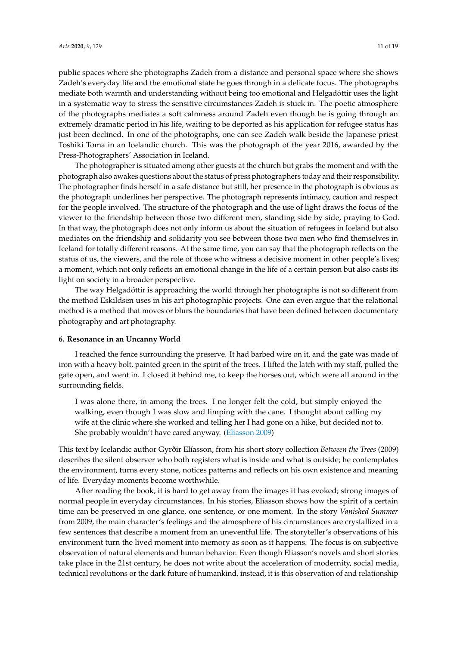public spaces where she photographs Zadeh from a distance and personal space where she shows Zadeh's everyday life and the emotional state he goes through in a delicate focus. The photographs mediate both warmth and understanding without being too emotional and Helgadóttir uses the light in a systematic way to stress the sensitive circumstances Zadeh is stuck in. The poetic atmosphere of the photographs mediates a soft calmness around Zadeh even though he is going through an extremely dramatic period in his life, waiting to be deported as his application for refugee status has just been declined. In one of the photographs, one can see Zadeh walk beside the Japanese priest Toshiki Toma in an Icelandic church. This was the photograph of the year 2016, awarded by the Press-Photographers' Association in Iceland.

The photographer is situated among other guests at the church but grabs the moment and with the photograph also awakes questions about the status of press photographers today and their responsibility. The photographer finds herself in a safe distance but still, her presence in the photograph is obvious as the photograph underlines her perspective. The photograph represents intimacy, caution and respect for the people involved. The structure of the photograph and the use of light draws the focus of the viewer to the friendship between those two different men, standing side by side, praying to God. In that way, the photograph does not only inform us about the situation of refugees in Iceland but also mediates on the friendship and solidarity you see between those two men who find themselves in Iceland for totally different reasons. At the same time, you can say that the photograph reflects on the status of us, the viewers, and the role of those who witness a decisive moment in other people's lives; a moment, which not only reflects an emotional change in the life of a certain person but also casts its light on society in a broader perspective.

The way Helgadóttir is approaching the world through her photographs is not so different from the method Eskildsen uses in his art photographic projects. One can even argue that the relational method is a method that moves or blurs the boundaries that have been defined between documentary photography and art photography.

## **6. Resonance in an Uncanny World**

I reached the fence surrounding the preserve. It had barbed wire on it, and the gate was made of iron with a heavy bolt, painted green in the spirit of the trees. I lifted the latch with my staff, pulled the gate open, and went in. I closed it behind me, to keep the horses out, which were all around in the surrounding fields.

I was alone there, in among the trees. I no longer felt the cold, but simply enjoyed the walking, even though I was slow and limping with the cane. I thought about calling my wife at the clinic where she worked and telling her I had gone on a hike, but decided not to. She probably wouldn't have cared anyway. (Elí[asson](#page-17-23) [2009\)](#page-17-23)

This text by Icelandic author Gyrðir Elíasson, from his short story collection *Between the Trees* (2009) describes the silent observer who both registers what is inside and what is outside; he contemplates the environment, turns every stone, notices patterns and reflects on his own existence and meaning of life. Everyday moments become worthwhile.

After reading the book, it is hard to get away from the images it has evoked; strong images of normal people in everyday circumstances. In his stories, Elíasson shows how the spirit of a certain time can be preserved in one glance, one sentence, or one moment. In the story *Vanished Summer* from 2009, the main character's feelings and the atmosphere of his circumstances are crystallized in a few sentences that describe a moment from an uneventful life. The storyteller's observations of his environment turn the lived moment into memory as soon as it happens. The focus is on subjective observation of natural elements and human behavior. Even though Elíasson's novels and short stories take place in the 21st century, he does not write about the acceleration of modernity, social media, technical revolutions or the dark future of humankind, instead, it is this observation of and relationship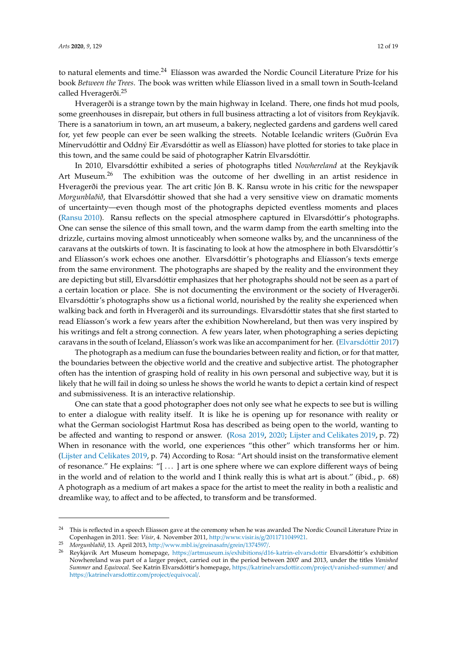to natural elements and time.<sup>24</sup> Elíasson was awarded the Nordic Council Literature Prize for his book *Between the Trees*. The book was written while Elíasson lived in a small town in South-Iceland called Hveragerði.<sup>25</sup>

Hveragerði is a strange town by the main highway in Iceland. There, one finds hot mud pools, some greenhouses in disrepair, but others in full business attracting a lot of visitors from Reykjavík. There is a sanatorium in town, an art museum, a bakery, neglected gardens and gardens well cared for, yet few people can ever be seen walking the streets. Notable Icelandic writers (Guðrún Eva Mínervudóttir and Oddný Eir Ævarsdóttir as well as Elíasson) have plotted for stories to take place in this town, and the same could be said of photographer Katrín Elvarsdóttir.

In 2010, Elvarsdóttir exhibited a series of photographs titled *Nowhereland* at the Reykjavík Art Museum.<sup>26</sup> The exhibition was the outcome of her dwelling in an artist residence in Hveragerði the previous year. The art critic Jón B. K. Ransu wrote in his critic for the newspaper *Morgunblaðið*, that Elvarsdóttir showed that she had a very sensitive view on dramatic moments of uncertainty—even though most of the photographs depicted eventless moments and places [\(Ransu](#page-18-15) [2010\)](#page-18-15). Ransu reflects on the special atmosphere captured in Elvarsdóttir's photographs. One can sense the silence of this small town, and the warm damp from the earth smelting into the drizzle, curtains moving almost unnoticeably when someone walks by, and the uncanniness of the caravans at the outskirts of town. It is fascinating to look at how the atmosphere in both Elvarsdóttir's and Elíasson's work echoes one another. Elvarsdóttir's photographs and Elíasson's texts emerge from the same environment. The photographs are shaped by the reality and the environment they are depicting but still, Elvarsdóttir emphasizes that her photographs should not be seen as a part of a certain location or place. She is not documenting the environment or the society of Hveragerði. Elvarsdóttir's photographs show us a fictional world, nourished by the reality she experienced when walking back and forth in Hveragerði and its surroundings. Elvarsdóttir states that she first started to read Elíasson's work a few years after the exhibition Nowhereland, but then was very inspired by his writings and felt a strong connection. A few years later, when photographing a series depicting caravans in the south of Iceland, Elíasson's work was like an accompaniment for her. [\(Elvarsd](#page-17-24)óttir [2017\)](#page-17-24)

The photograph as a medium can fuse the boundaries between reality and fiction, or for that matter, the boundaries between the objective world and the creative and subjective artist. The photographer often has the intention of grasping hold of reality in his own personal and subjective way, but it is likely that he will fail in doing so unless he shows the world he wants to depict a certain kind of respect and submissiveness. It is an interactive relationship.

One can state that a good photographer does not only see what he expects to see but is willing to enter a dialogue with reality itself. It is like he is opening up for resonance with reality or what the German sociologist Hartmut Rosa has described as being open to the world, wanting to be affected and wanting to respond or answer. [\(Rosa](#page-18-16) [2019,](#page-18-16) [2020;](#page-18-17) [Lijster and Celikates](#page-17-25) [2019,](#page-17-25) p. 72) When in resonance with the world, one experiences "this other" which transforms her or him. [\(Lijster and Celikates](#page-17-25) [2019,](#page-17-25) p. 74) According to Rosa: "Art should insist on the transformative element of resonance." He explains: "[ . . . ] art is one sphere where we can explore different ways of being in the world and of relation to the world and I think really this is what art is about." (ibid., p. 68) A photograph as a medium of art makes a space for the artist to meet the reality in both a realistic and dreamlike way, to affect and to be affected, to transform and be transformed.

<sup>&</sup>lt;sup>24</sup> This is reflected in a speech Elíasson gave at the ceremony when he was awarded The Nordic Council Literature Prize in Copenhagen in 2011. See: *Vísir*, 4. November 2011, http://www.visir.is/g/[2011711049921.](http://www.visir.is/g/2011711049921)

<sup>25</sup> *Morgunblaðið*, 13. April 2013, http://[www.mbl.is](http://www.mbl.is/greinasafn/grein/1374597/)/greinasafn/grein/1374597/.

<sup>26</sup> Reykjavík Art Museum homepage, https://artmuseum.is/exhibitions/[d16-katrin-elvarsdottir](https://artmuseum.is/exhibitions/d16-katrin-elvarsdottir) Elvarsdóttir's exhibition Nowhereland was part of a larger project, carried out in the period between 2007 and 2013, under the titles *Vanished Summer* and *Equivocal*. See Katrín Elvarsdóttir's homepage, https://[katrinelvarsdottir.com](https://katrinelvarsdottir.com/project/vanished-summer/)/project/vanished-summer/ and https://[katrinelvarsdottir.com](https://katrinelvarsdottir.com/project/equivocal/)/project/equivocal/.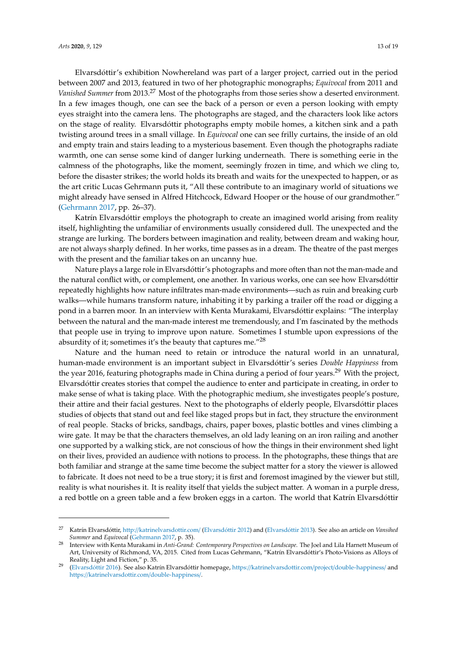Elvarsdóttir's exhibition Nowhereland was part of a larger project, carried out in the period between 2007 and 2013, featured in two of her photographic monographs; *Equivocal* from 2011 and *Vanished Summer* from 2013.<sup>27</sup> Most of the photographs from those series show a deserted environment. In a few images though, one can see the back of a person or even a person looking with empty eyes straight into the camera lens. The photographs are staged, and the characters look like actors on the stage of reality. Elvarsdóttir photographs empty mobile homes, a kitchen sink and a path twisting around trees in a small village. In *Equivocal* one can see frilly curtains, the inside of an old and empty train and stairs leading to a mysterious basement. Even though the photographs radiate warmth, one can sense some kind of danger lurking underneath. There is something eerie in the calmness of the photographs, like the moment, seemingly frozen in time, and which we cling to, before the disaster strikes; the world holds its breath and waits for the unexpected to happen, or as the art critic Lucas Gehrmann puts it, "All these contribute to an imaginary world of situations we might already have sensed in Alfred Hitchcock, Edward Hooper or the house of our grandmother." [\(Gehrmann](#page-17-26) [2017,](#page-17-26) pp. 26–37).

Katrín Elvarsdóttir employs the photograph to create an imagined world arising from reality itself, highlighting the unfamiliar of environments usually considered dull. The unexpected and the strange are lurking. The borders between imagination and reality, between dream and waking hour, are not always sharply defined. In her works, time passes as in a dream. The theatre of the past merges with the present and the familiar takes on an uncanny hue.

Nature plays a large role in Elvarsdóttir's photographs and more often than not the man-made and the natural conflict with, or complement, one another. In various works, one can see how Elvarsdóttir repeatedly highlights how nature infiltrates man-made environments—such as ruin and breaking curb walks—while humans transform nature, inhabiting it by parking a trailer off the road or digging a pond in a barren moor. In an interview with Kenta Murakami, Elvarsdóttir explains: "The interplay between the natural and the man-made interest me tremendously, and I'm fascinated by the methods that people use in trying to improve upon nature. Sometimes I stumble upon expressions of the absurdity of it; sometimes it's the beauty that captures me."<sup>28</sup>

Nature and the human need to retain or introduce the natural world in an unnatural, human-made environment is an important subject in Elvarsdóttir's series *Double Happiness* from the year 2016, featuring photographs made in China during a period of four years.<sup>29</sup> With the project, Elvarsdóttir creates stories that compel the audience to enter and participate in creating, in order to make sense of what is taking place. With the photographic medium, she investigates people's posture, their attire and their facial gestures. Next to the photographs of elderly people, Elvarsdóttir places studies of objects that stand out and feel like staged props but in fact, they structure the environment of real people. Stacks of bricks, sandbags, chairs, paper boxes, plastic bottles and vines climbing a wire gate. It may be that the characters themselves, an old lady leaning on an iron railing and another one supported by a walking stick, are not conscious of how the things in their environment shed light on their lives, provided an audience with notions to process. In the photographs, these things that are both familiar and strange at the same time become the subject matter for a story the viewer is allowed to fabricate. It does not need to be a true story; it is first and foremost imagined by the viewer but still, reality is what nourishes it. It is reality itself that yields the subject matter. A woman in a purple dress, a red bottle on a green table and a few broken eggs in a carton. The world that Katrín Elvarsdóttir

<sup>27</sup> Katrín Elvarsdóttir, http://[katrinelvarsdottir.com](http://katrinelvarsdottir.com/)/ [\(Elvarsd](#page-17-27)óttir [2012\)](#page-17-27) and [\(Elvarsd](#page-17-28)óttir [2013\)](#page-17-28). See also an article on *Vansihed Summer* and *Equivocal* [\(Gehrmann](#page-17-26) [2017,](#page-17-26) p. 35).

<sup>28</sup> Interview with Kenta Murakami in *Anti-Grand: Contemporary Perspectives on Landscape*. The Joel and Lila Harnett Museum of Art, University of Richmond, VA, 2015. Cited from Lucas Gehrmann, "Katrín Elvarsdóttir's Photo-Visions as Alloys of Reality, Light and Fiction," p. 35.

<sup>29</sup> [\(Elvarsd](#page-17-29)óttir [2016\)](#page-17-29). See also Katrín Elvarsdóttir homepage, https://[katrinelvarsdottir.com](https://katrinelvarsdottir.com/project/double-happiness/)/project/double-happiness/ and https://[katrinelvarsdottir.com](https://katrinelvarsdottir.com/double-happiness/)/double-happiness/.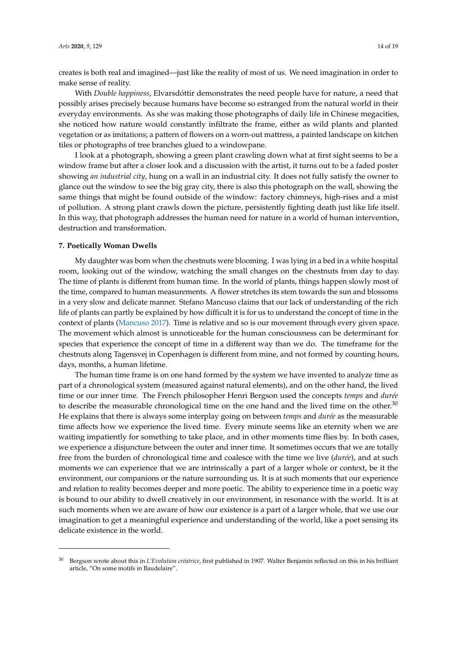creates is both real and imagined—just like the reality of most of us. We need imagination in order to make sense of reality.

With *Double happiness*, Elvarsdóttir demonstrates the need people have for nature, a need that possibly arises precisely because humans have become so estranged from the natural world in their everyday environments. As she was making those photographs of daily life in Chinese megacities, she noticed how nature would constantly infiltrate the frame, either as wild plants and planted vegetation or as imitations; a pattern of flowers on a worn-out mattress, a painted landscape on kitchen tiles or photographs of tree branches glued to a windowpane.

I look at a photograph, showing a green plant crawling down what at first sight seems to be a window frame but after a closer look and a discussion with the artist, it turns out to be a faded poster showing *an industrial city*, hung on a wall in an industrial city. It does not fully satisfy the owner to glance out the window to see the big gray city, there is also this photograph on the wall, showing the same things that might be found outside of the window: factory chimneys, high-rises and a mist of pollution. A strong plant crawls down the picture, persistently fighting death just like life itself. In this way, that photograph addresses the human need for nature in a world of human intervention, destruction and transformation.

## **7. Poetically Woman Dwells**

My daughter was born when the chestnuts were blooming. I was lying in a bed in a white hospital room, looking out of the window, watching the small changes on the chestnuts from day to day. The time of plants is different from human time. In the world of plants, things happen slowly most of the time, compared to human measurements. A flower stretches its stem towards the sun and blossoms in a very slow and delicate manner. Stefano Mancuso claims that our lack of understanding of the rich life of plants can partly be explained by how difficult it is for us to understand the concept of time in the context of plants [\(Mancuso](#page-18-5) [2017\)](#page-18-5). Time is relative and so is our movement through every given space. The movement which almost is unnoticeable for the human consciousness can be determinant for species that experience the concept of time in a different way than we do. The timeframe for the chestnuts along Tagensvej in Copenhagen is different from mine, and not formed by counting hours, days, months, a human lifetime.

The human time frame is on one hand formed by the system we have invented to analyze time as part of a chronological system (measured against natural elements), and on the other hand, the lived time or our inner time. The French philosopher Henri Bergson used the concepts *temps* and *durée* to describe the measurable chronological time on the one hand and the lived time on the other. $30$ He explains that there is always some interplay going on between *temps* and *durée* as the measurable time affects how we experience the lived time. Every minute seems like an eternity when we are waiting impatiently for something to take place, and in other moments time flies by. In both cases, we experience a disjuncture between the outer and inner time. It sometimes occurs that we are totally free from the burden of chronological time and coalesce with the time we live (*durée*), and at such moments we can experience that we are intrinsically a part of a larger whole or context, be it the environment, our companions or the nature surrounding us. It is at such moments that our experience and relation to reality becomes deeper and more poetic. The ability to experience time in a poetic way is bound to our ability to dwell creatively in our environment, in resonance with the world. It is at such moments when we are aware of how our existence is a part of a larger whole, that we use our imagination to get a meaningful experience and understanding of the world, like a poet sensing its delicate existence in the world.

<sup>30</sup> Bergson wrote about this in *L'Evolution créatrice*, first published in 1907. Walter Benjamin reflected on this in his brilliant article, "On some motifs in Baudelaire".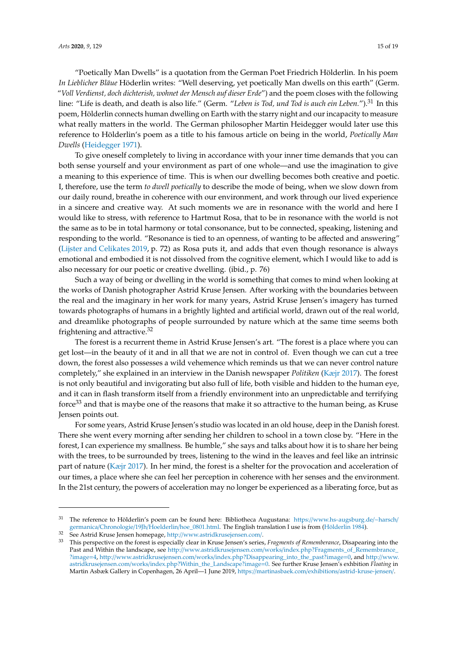"Poetically Man Dwells" is a quotation from the German Poet Friedrich Hölderlin. In his poem *In Lieblicher Bläue* Höderlin writes: "Well deserving, yet poetically Man dwells on this earth" (Germ. "*Voll Verdienst, doch dichterish, wohnet der Mensch auf dieser Erde*") and the poem closes with the following line: "Life is death, and death is also life." (Germ. "*Leben is Tod, und Tod is auch ein Leben.*").<sup>31</sup> In this poem, Hölderlin connects human dwelling on Earth with the starry night and our incapacity to measure what really matters in the world. The German philosopher Martin Heidegger would later use this reference to Hölderlin's poem as a title to his famous article on being in the world, *Poetically Man Dwells* [\(Heidegger](#page-17-30) [1971\)](#page-17-30).

To give oneself completely to living in accordance with your inner time demands that you can both sense yourself and your environment as part of one whole—and use the imagination to give a meaning to this experience of time. This is when our dwelling becomes both creative and poetic. I, therefore, use the term *to dwell poetically* to describe the mode of being, when we slow down from our daily round, breathe in coherence with our environment, and work through our lived experience in a sincere and creative way. At such moments we are in resonance with the world and here I would like to stress, with reference to Hartmut Rosa, that to be in resonance with the world is not the same as to be in total harmony or total consonance, but to be connected, speaking, listening and responding to the world. "Resonance is tied to an openness, of wanting to be affected and answering" [\(Lijster and Celikates](#page-17-25) [2019,](#page-17-25) p. 72) as Rosa puts it, and adds that even though resonance is always emotional and embodied it is not dissolved from the cognitive element, which I would like to add is also necessary for our poetic or creative dwelling. (ibid., p. 76)

Such a way of being or dwelling in the world is something that comes to mind when looking at the works of Danish photographer Astrid Kruse Jensen. After working with the boundaries between the real and the imaginary in her work for many years, Astrid Kruse Jensen's imagery has turned towards photographs of humans in a brightly lighted and artificial world, drawn out of the real world, and dreamlike photographs of people surrounded by nature which at the same time seems both frightening and attractive.<sup>32</sup>

The forest is a recurrent theme in Astrid Kruse Jensen's art. "The forest is a place where you can get lost—in the beauty of it and in all that we are not in control of. Even though we can cut a tree down, the forest also possesses a wild vehemence which reminds us that we can never control nature completely," she explained in an interview in the Danish newspaper *Politiken* [\(Kæjr](#page-17-31) [2017\)](#page-17-31). The forest is not only beautiful and invigorating but also full of life, both visible and hidden to the human eye, and it can in flash transform itself from a friendly environment into an unpredictable and terrifying force<sup>33</sup> and that is maybe one of the reasons that make it so attractive to the human being, as Kruse Jensen points out.

For some years, Astrid Kruse Jensen's studio was located in an old house, deep in the Danish forest. There she went every morning after sending her children to school in a town close by. "Here in the forest, I can experience my smallness. Be humble," she says and talks about how it is to share her being with the trees, to be surrounded by trees, listening to the wind in the leaves and feel like an intrinsic part of nature [\(Kæjr](#page-17-31) [2017\)](#page-17-31). In her mind, the forest is a shelter for the provocation and acceleration of our times, a place where she can feel her perception in coherence with her senses and the environment. In the 21st century, the powers of acceleration may no longer be experienced as a liberating force, but as

<sup>&</sup>lt;sup>31</sup> The reference to Hölderlin's poem can be found here: Bibliotheca Augustana: https://[www.hs-augsburg.de](https://www.hs-augsburg.de/~harsch/germanica/Chronologie/19Jh/Hoelderlin/hoe_0801.html)/~harsch/ germanica/Chronologie/19Jh/Hoelderlin/[hoe\\_0801.html.](https://www.hs-augsburg.de/~harsch/germanica/Chronologie/19Jh/Hoelderlin/hoe_0801.html) The English translation I use is from [\(Hölderlin](#page-17-32) [1984\)](#page-17-32).

<sup>&</sup>lt;sup>32</sup> See Astrid Kruse Jensen homepage, http://[www.astridkrusejensen.com](http://www.astridkrusejensen.com/)/.

<sup>33</sup> This perspective on the forest is especially clear in Kruse Jensen's series, *Fragments of Rememberance*, Disapearing into the Past and Within the landscape, see http://www.astridkrusejensen.com/works/[index.php?Fragments\\_of\\_Remembrance\\_](http://www.astridkrusejensen.com/works/index.php?Fragments_of_Remembrance_?image=4) [?image](http://www.astridkrusejensen.com/works/index.php?Fragments_of_Remembrance_?image=4)=4, http://www.astridkrusejensen.com/works/[index.php?Disappearing\\_into\\_the\\_past?image](http://www.astridkrusejensen.com/works/index.php?Disappearing_into_the_past?image=0)=0, and http://[www.](http://www.astridkrusejensen.com/works/index.php?Within_the_Landscape?image=0) astridkrusejensen.com/works/[index.php?Within\\_the\\_Landscape?image](http://www.astridkrusejensen.com/works/index.php?Within_the_Landscape?image=0)=0. See further Kruse Jensen's exhbition *Floating* in Martin Asbæk Gallery in Copenhagen, 26 April—1 June 2019, https://martinasbaek.com/exhibitions/[astrid-kruse-jensen](https://martinasbaek.com/exhibitions/astrid-kruse-jensen/)/.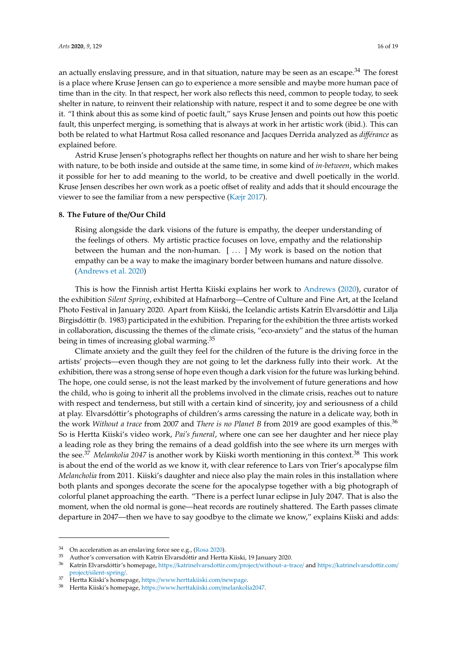an actually enslaving pressure, and in that situation, nature may be seen as an escape.<sup>34</sup> The forest is a place where Kruse Jensen can go to experience a more sensible and maybe more human pace of time than in the city. In that respect, her work also reflects this need, common to people today, to seek shelter in nature, to reinvent their relationship with nature, respect it and to some degree be one with it. "I think about this as some kind of poetic fault," says Kruse Jensen and points out how this poetic fault, this unperfect merging, is something that is always at work in her artistic work (ibid.). This can both be related to what Hartmut Rosa called resonance and Jacques Derrida analyzed as *di*ff*érance* as explained before.

Astrid Kruse Jensen's photographs reflect her thoughts on nature and her wish to share her being with nature, to be both inside and outside at the same time, in some kind of *in-between*, which makes it possible for her to add meaning to the world, to be creative and dwell poetically in the world. Kruse Jensen describes her own work as a poetic offset of reality and adds that it should encourage the viewer to see the familiar from a new perspective [\(Kæjr](#page-17-31) [2017\)](#page-17-31).

# **8. The Future of the**/**Our Child**

Rising alongside the dark visions of the future is empathy, the deeper understanding of the feelings of others. My artistic practice focuses on love, empathy and the relationship between the human and the non-human. [ . . . ] My work is based on the notion that empathy can be a way to make the imaginary border between humans and nature dissolve. [\(Andrews et al.](#page-16-8) [2020\)](#page-16-8)

This is how the Finnish artist Hertta Kiiski explains her work to [Andrews](#page-16-9) [\(2020\)](#page-16-9), curator of the exhibition *Silent Spring*, exhibited at Hafnarborg—Centre of Culture and Fine Art, at the Iceland Photo Festival in January 2020. Apart from Kiiski, the Icelandic artists Katrín Elvarsdóttir and Lilja Birgisdóttir (b. 1983) participated in the exhibition. Preparing for the exhibition the three artists worked in collaboration, discussing the themes of the climate crisis, "eco-anxiety" and the status of the human being in times of increasing global warming.<sup>35</sup>

Climate anxiety and the guilt they feel for the children of the future is the driving force in the artists' projects—even though they are not going to let the darkness fully into their work. At the exhibition, there was a strong sense of hope even though a dark vision for the future was lurking behind. The hope, one could sense, is not the least marked by the involvement of future generations and how the child, who is going to inherit all the problems involved in the climate crisis, reaches out to nature with respect and tenderness, but still with a certain kind of sincerity, joy and seriousness of a child at play. Elvarsdóttir's photographs of children's arms caressing the nature in a delicate way, both in the work *Without a trace* from 2007 and *There is no Planet B* from 2019 are good examples of this.<sup>36</sup> So is Hertta Kiiski's video work, *Pai's funeral*, where one can see her daughter and her niece play a leading role as they bring the remains of a dead goldfish into the see where its urn merges with the see.<sup>37</sup> *Melankolia* 2047 is another work by Kiiski worth mentioning in this context.<sup>38</sup> This work is about the end of the world as we know it, with clear reference to Lars von Trier's apocalypse film *Melancholia* from 2011. Kiiski's daughter and niece also play the main roles in this installation where both plants and sponges decorate the scene for the apocalypse together with a big photograph of colorful planet approaching the earth. "There is a perfect lunar eclipse in July 2047. That is also the moment, when the old normal is gone—heat records are routinely shattered. The Earth passes climate departure in 2047—then we have to say goodbye to the climate we know," explains Kiiski and adds:

 $34$  On acceleration as an enslaving force see e.g., [\(Rosa](#page-18-17) [2020\)](#page-18-17).

<sup>35</sup> Author's conversation with Katrín Elvarsdóttir and Hertta Kiiski, 19 January 2020.

<sup>36</sup> Katrín Elvarsdóttir's homepage, https://[katrinelvarsdottir.com](https://katrinelvarsdottir.com/project/without-a-trace/)/project/without-a-trace/ and https://[katrinelvarsdottir.com](https://katrinelvarsdottir.com/project/silent-spring/)/ project/[silent-spring](https://katrinelvarsdottir.com/project/silent-spring/)/.

<sup>37</sup> Hertta Kiiski's homepage, https://[www.herttakiiski.com](https://www.herttakiiski.com/newpage)/newpage.

<sup>38</sup> Hertta Kiiski's homepage, https://[www.herttakiiski.com](https://www.herttakiiski.com/melankolia2047)/melankolia2047.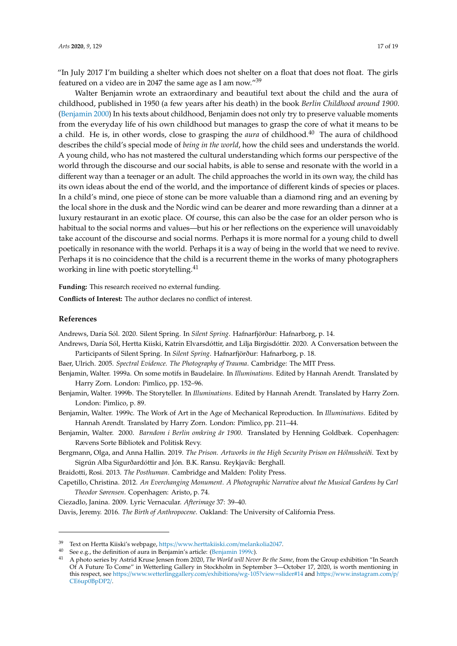"In July 2017 I'm building a shelter which does not shelter on a float that does not float. The girls featured on a video are in 2047 the same age as I am now."<sup>39</sup>

Walter Benjamin wrote an extraordinary and beautiful text about the child and the aura of childhood, published in 1950 (a few years after his death) in the book *Berlin Childhood around 1900*. [\(Benjamin](#page-16-10) [2000\)](#page-16-10) In his texts about childhood, Benjamin does not only try to preserve valuable moments from the everyday life of his own childhood but manages to grasp the core of what it means to be a child. He is, in other words, close to grasping the *aura* of childhood.<sup>40</sup> The aura of childhood describes the child's special mode of *being in the world*, how the child sees and understands the world. A young child, who has not mastered the cultural understanding which forms our perspective of the world through the discourse and our social habits, is able to sense and resonate with the world in a different way than a teenager or an adult. The child approaches the world in its own way, the child has its own ideas about the end of the world, and the importance of different kinds of species or places. In a child's mind, one piece of stone can be more valuable than a diamond ring and an evening by the local shore in the dusk and the Nordic wind can be dearer and more rewarding than a dinner at a luxury restaurant in an exotic place. Of course, this can also be the case for an older person who is habitual to the social norms and values—but his or her reflections on the experience will unavoidably take account of the discourse and social norms. Perhaps it is more normal for a young child to dwell poetically in resonance with the world. Perhaps it is a way of being in the world that we need to revive. Perhaps it is no coincidence that the child is a recurrent theme in the works of many photographers working in line with poetic storytelling.<sup>41</sup>

**Funding:** This research received no external funding.

**Conflicts of Interest:** The author declares no conflict of interest.

# **References**

<span id="page-16-9"></span>Andrews, Daría Sól. 2020. Silent Spring. In *Silent Spring*. Hafnarfjörður: Hafnarborg, p. 14.

- <span id="page-16-8"></span>Andrews, Daría Sól, Hertta Kiiski, Katrín Elvarsdóttir, and Lilja Birgisdóttir. 2020. A Conversation between the Participants of Silent Spring. In *Silent Spring*. Hafnarfjörður: Hafnarborg, p. 18.
- <span id="page-16-7"></span>Baer, Ulrich. 2005. *Spectral Evidence. The Photography of Trauma*. Cambridge: The MIT Press.
- <span id="page-16-3"></span>Benjamin, Walter. 1999a. On some motifs in Baudelaire. In *Illuminations*. Edited by Hannah Arendt. Translated by Harry Zorn. London: Pimlico, pp. 152–96.
- <span id="page-16-0"></span>Benjamin, Walter. 1999b. The Storyteller. In *Illuminations*. Edited by Hannah Arendt. Translated by Harry Zorn. London: Pimlico, p. 89.
- <span id="page-16-11"></span>Benjamin, Walter. 1999c. The Work of Art in the Age of Mechanical Reproduction. In *Illuminations*. Edited by Hannah Arendt. Translated by Harry Zorn. London: Pimlico, pp. 211–44.
- <span id="page-16-10"></span>Benjamin, Walter. 2000. *Barndom i Berlin omkring år 1900*. Translated by Henning Goldbæk. Copenhagen: Rævens Sorte Bibliotek and Politisk Revy.
- <span id="page-16-6"></span>Bergmann, Olga, and Anna Hallin. 2019. *The Prison. Artworks in the High Security Prison on Hólmssheiði*. Text by Sigrún Alba Sigurðardóttir and Jón. B.K. Ransu. Reykjavík: Berghall.
- <span id="page-16-4"></span>Braidotti, Rosi. 2013. *The Posthuman*. Cambridge and Malden: Polity Press.
- <span id="page-16-2"></span>Capetillo, Christina. 2012. *An Everchanging Monument. A Photographic Narrative about the Musical Gardens by Carl Theodor Sørensen*. Copenhagen: Aristo, p. 74.
- <span id="page-16-5"></span><span id="page-16-1"></span>Ciezadlo, Janina. 2009. Lyric Vernacular. *Afterimage* 37: 39–40.

Davis, Jeremy. 2016. *The Birth of Anthropocene*. Oakland: The University of California Press.

<sup>39</sup> Text on Hertta Kiiski's webpage, https://[www.herttakiiski.com](https://www.herttakiiski.com/melankolia2047)/melankolia2047.

<sup>40</sup> See e.g., the definition of aura in Benjamin's article: [\(Benjamin](#page-16-11) [1999c\)](#page-16-11).

<sup>41</sup> A photo series by Astrid Kruse Jensen from 2020, *The World will Never Be the Same*, from the Group exhibition "In Search Of A Future To Come" in Wetterling Gallery in Stockholm in September 3—October 17, 2020, is worth mentioning in this respect, see https://[www.wetterlinggallery.com](https://www.wetterlinggallery.com/exhibitions/wg-105?view=slider#14)/exhibitions/wg-105?view=slider#14 and https://[www.instagram.com](https://www.instagram.com/p/CE6up0BpDP2/)/p/ [CE6up0BpDP2](https://www.instagram.com/p/CE6up0BpDP2/)/.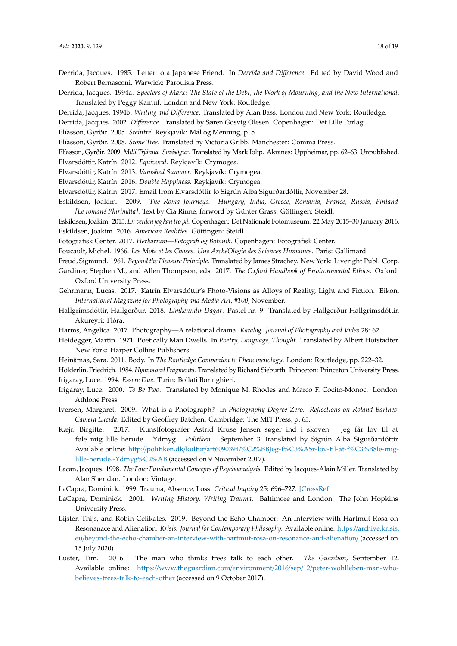- <span id="page-17-18"></span>Derrida, Jacques. 1985. Letter to a Japanese Friend. In *Derrida and Di*ff*erence*. Edited by David Wood and Robert Bernasconi. Warwick: Parouisia Press.
- <span id="page-17-16"></span>Derrida, Jacques. 1994a. *Specters of Marx: The State of the Debt, the Work of Mourning, and the New International*. Translated by Peggy Kamuf. London and New York: Routledge.
- <span id="page-17-17"></span>Derrida, Jacques. 1994b. *Writing and Di*ff*erence*. Translated by Alan Bass. London and New York: Routledge.
- <span id="page-17-19"></span>Derrida, Jacques. 2002. *Di*ff*erence*. Translated by Søren Gosvig Olesen. Copenhagen: Det Lille Forlag.
- <span id="page-17-21"></span>Elíasson, Gyrðir. 2005. *Steintré*. Reykjavík: Mál og Menning, p. 5.
- <span id="page-17-22"></span>Elíasson, Gyrðir. 2008. *Stone Tree*. Translated by Victoria Gribb. Manchester: Comma Press.
- <span id="page-17-27"></span><span id="page-17-23"></span>Elíasson, Gyrðir. 2009. *Milli Trjánna. Smásögur*. Translated by Mark Iolip. Akranes: Uppheimar, pp. 62–63. Unpublished.
- Elvarsdóttir, Katrín. 2012. *Equivocal*. Reykjavík: Crymogea.
- <span id="page-17-28"></span>Elvarsdóttir, Katrín. 2013. *Vanished Summer*. Reykjavík: Crymogea.
- <span id="page-17-29"></span>Elvarsdóttir, Katrín. 2016. *Double Happiness*. Reykjavík: Crymogea.
- <span id="page-17-24"></span>Elvarsdóttir, Katrín. 2017. Email from Elvarsdóttir to Sigrún Alba Sigurðardóttir, November 28.
- <span id="page-17-1"></span>Eskildsen, Joakim. 2009. *The Roma Journeys. Hungary, India, Greece, Romania, France, Russia, Finland [Le romané Phirimàta]*. Text by Cia Rinne, forword by Günter Grass. Göttingen: Steidl.
- <span id="page-17-2"></span><span id="page-17-0"></span>Eskildsen, Joakim. 2015. *En verden jeg kan tro på*. Copenhagen: Det Nationale Fotomuseum. 22 May 2015–30 January 2016. Eskildsen, Joakim. 2016. *American Realities*. Göttingen: Steidl.
- <span id="page-17-6"></span>Fotografisk Center. 2017. *Herbarium—Fotografi og Botanik*. Copenhagen: Fotografisk Center.
- <span id="page-17-12"></span><span id="page-17-3"></span>Foucault, Michel. 1966. *Les Mots et les Choses. Une ArchéOlogie des Sciences Humaines*. Paris: Gallimard.
- Freud, Sigmund. 1961. *Beyond the Pleasure Principle*. Translated by James Strachey. New York: Liveright Publ. Corp.
- <span id="page-17-4"></span>Gardiner, Stephen M., and Allen Thompson, eds. 2017. *The Oxford Handbook of Environmental Ethics*. Oxford: Oxford University Press.
- <span id="page-17-26"></span>Gehrmann, Lucas. 2017. Katrín Elvarsdóttir's Photo-Visions as Alloys of Reality, Light and Fiction. Eikon. *International Magazine for Photography and Media Art, #100*, November.
- <span id="page-17-15"></span>Hallgrímsdóttir, Hallgerður. 2018. *Límkenndir Dagar*. Pastel nr. 9. Translated by Hallgerður Hallgrímsdóttir. Akureyri: Flóra.
- <span id="page-17-20"></span>Harms, Angelica. 2017. Photography—A relational drama. *Katalog. Journal of Photography and Video* 28: 62.
- <span id="page-17-30"></span>Heidegger, Martin. 1971. Poetically Man Dwells. In *Poetry, Language, Thought*. Translated by Albert Hotstadter. New York: Harper Collins Publishers.
- <span id="page-17-8"></span>Heinämaa, Sara. 2011. Body. In *The Routledge Companion to Phenomenology*. London: Routledge, pp. 222–32.
- <span id="page-17-32"></span><span id="page-17-9"></span>Hölderlin, Friedrich. 1984.*Hymns and Fragments*. Translated by Richard Sieburth. Princeton: Princeton University Press. Irigaray, Luce. 1994. *Essere Due*. Turin: Bollati Boringhieri.
- <span id="page-17-10"></span>Irigaray, Luce. 2000. *To Be Two*. Translated by Monique M. Rhodes and Marco F. Cocito-Monoc. London: Athlone Press.
- <span id="page-17-11"></span>Iversen, Margaret. 2009. What is a Photograph? In *Photography Degree Zero. Reflections on Roland Barthes' Camera Lucida*. Edited by Geoffrey Batchen. Cambridge: The MIT Press, p. 65.
- <span id="page-17-31"></span>Kæjr, Birgitte. 2017. Kunstfotografer Astrid Kruse Jensen søger ind i skoven. Jeg får lov til at føle mig lille herude. Ydmyg. *Politiken*. September 3 Translated by Sigrún Alba Sigurðardóttir. Available online: http://politiken.dk/kultur/art6090394/[%C2%BBJeg-f%C3%A5r-lov-til-at-f%C3%B8le-mig](http://politiken.dk/kultur/art6090394/%C2%BBJeg-f%C3%A5r-lov-til-at-f%C3%B8le-mig-lille-herude.-Ydmyg%C2%AB)[lille-herude.-Ydmyg%C2%AB](http://politiken.dk/kultur/art6090394/%C2%BBJeg-f%C3%A5r-lov-til-at-f%C3%B8le-mig-lille-herude.-Ydmyg%C2%AB) (accessed on 9 November 2017).
- <span id="page-17-7"></span>Lacan, Jacques. 1998. *The Four Fundamental Concepts of Psychoanalysis*. Edited by Jacques-Alain Miller. Translated by Alan Sheridan. London: Vintage.
- <span id="page-17-13"></span>LaCapra, Dominick. 1999. Trauma, Absence, Loss. *Critical Inquiry* 25: 696–727. [\[CrossRef\]](http://dx.doi.org/10.1086/448943)
- <span id="page-17-14"></span>LaCapra, Dominick. 2001. *Writing History, Writing Trauma*. Baltimore and London: The John Hopkins University Press.
- <span id="page-17-25"></span>Lijster, Thijs, and Robin Celikates. 2019. Beyond the Echo-Chamber: An Interview with Hartmut Rosa on Resonanace and Alienation. *Krisis: Journal for Contemporary Philosophy.* Available online: https://[archive.krisis.](https://archive.krisis.eu/beyond-the-echo-chamber-an-interview-with-hartmut-rosa-on-resonance-and-alienation/) eu/[beyond-the-echo-chamber-an-interview-with-hartmut-rosa-on-resonance-and-alienation](https://archive.krisis.eu/beyond-the-echo-chamber-an-interview-with-hartmut-rosa-on-resonance-and-alienation/)/ (accessed on 15 July 2020).
- <span id="page-17-5"></span>Luster, Tim. 2016. The man who thinks trees talk to each other. *The Guardian*, September 12. Available online: https://www.theguardian.com/environment/2016/sep/12/[peter-wohlleben-man-who](https://www.theguardian.com/environment/2016/sep/12/peter-wohlleben-man-who-believes-trees-talk-to-each-other)[believes-trees-talk-to-each-other](https://www.theguardian.com/environment/2016/sep/12/peter-wohlleben-man-who-believes-trees-talk-to-each-other) (accessed on 9 October 2017).